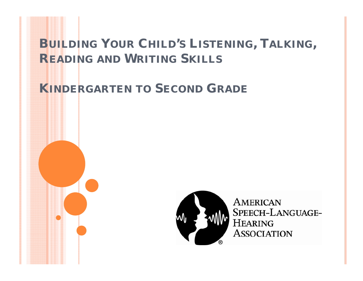## **BUILDING YOUR CHILD'S LISTENING, TALKING, READING AND WRITING SKILLS**

**KINDERGARTEN INDERGARTENTO SECOND GRADE**



**AMERICAN** SPEECH-LANGUAGE-**HEARING ASSOCIATION**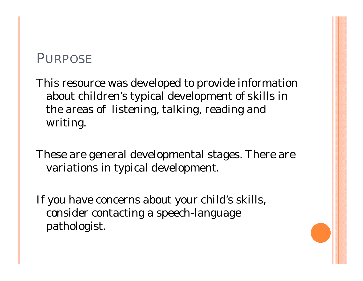#### PURPOSE

This resource was developed to provide information about children's typical development of skills in the areas of listening, talking, reading and writing.

These are general developmental stages. There are variations in typical development.

If you have concerns about your child's skills, consider contacting a speech-language pathologist.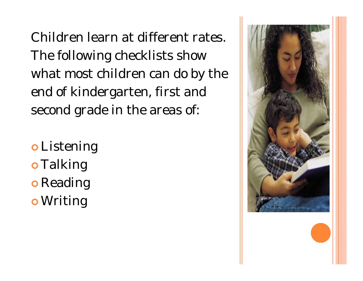Children learn at different rates. The following checklists show what most children can do by the end of kindergarten, first and second grade in the areas of:

o Listening o Talking o Reading o Writing

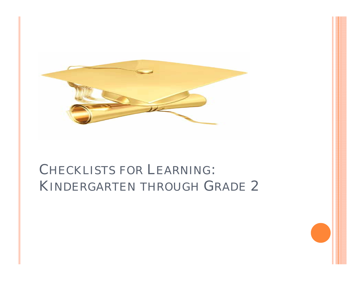

# CHECKLISTS FOR LEARNING: KINDERGARTEN THROUGH GRADE 2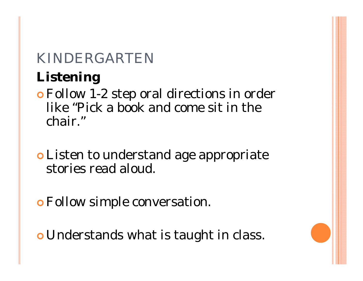# **Listening**

- **o** Follow 1-2 step oral directions in order like "Pick a book and come sit in the chair."
- **o** Listen to understand age appropriate stories read aloud.
- **o** Follow simple conversation.
- **o** Understands what is taught in class.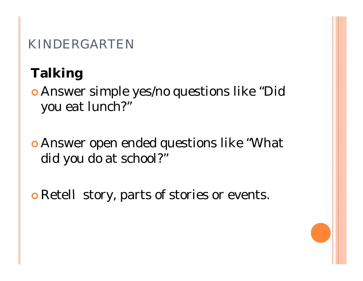# **Talking**

**• Answer simple yes/no questions like "Did** you eat lunch?"

**• Answer open ended questions like "What**" did you do at school?"

 $\circ$  Retell story, parts of stories or events.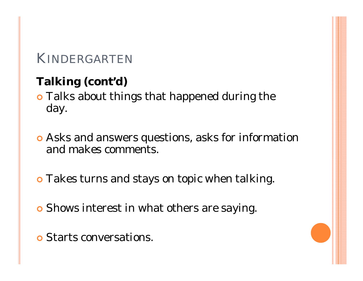## **Talking( ) cont'd)**

**o** Talks about things that happened during the day.

- **Asks and answers questions, asks for information** and makes comments.
- **o** Takes turns and stays on topic when talking.
- **o** Shows interest in what others are saying.
- **o** Starts conversations.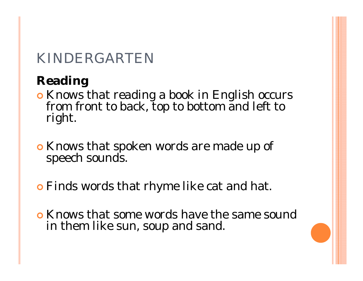## **Reading**

- | Knows that reading a book in English occurs from front to back, top to bottom and left to right.
- **o** Knows that spoken words are made up of speech sounds.
- **o** Finds words that rhyme like cat and hat.
- **Knows that some words have the same sound** in them like sun, soup and sand.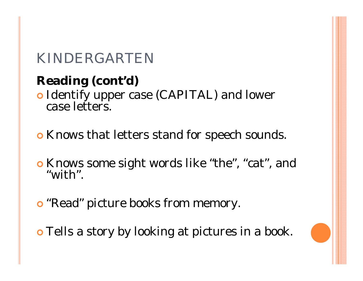# **Reading (cont'd)**

• Identify upper case (CAPITAL) and lower case letters.

**o** Knows that letters stand for speech sounds.

- | Knows some sight words like "the", "cat", and "with".
- **o** "Read" picture books from memory.

**o** Tells a story by looking at pictures in a book.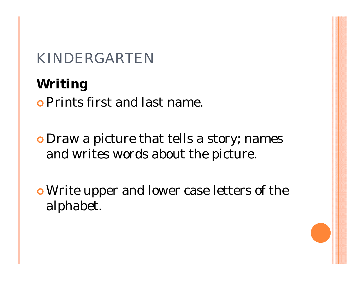**Writing o Prints first and last name.** 

**o** Draw a picture that tells a story; names and writes words about the picture.

<sup>|</sup>Write upper and lower case letters of the alphabet.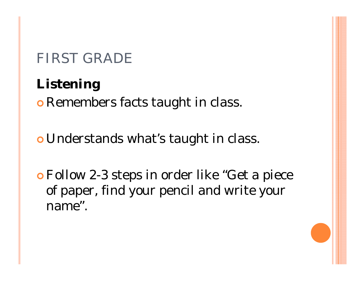# **Listening**

**o** Remembers facts taught in class.

**o** Understands what's taught in class.

| Follow 2-3 steps in order like "Get a piece of paper, find your pencil and write your name".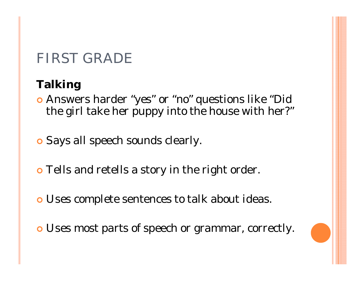## **Talking**

| Answers harder "yes" or "no" questions like "Did the girl take her puppy into the house with her?"

**o** Says all speech sounds clearly.

- **o** Tells and retells a story in the right order.
- **o** Uses complete sentences to talk about ideas.
- **o** Uses most parts of speech or grammar, correctly.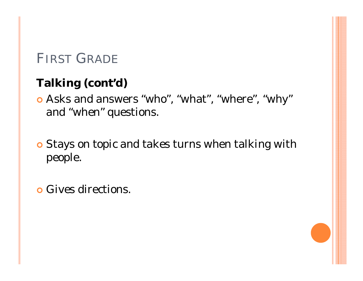## **Talking( ) cont'd)**

**o** Asks and answers "who", "what", "where", "why" and "when" questions.

- **o** Stays on topic and takes turns when talking with people.
- **o** Gives directions.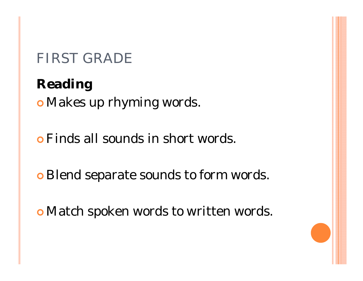**Reading** <sup>|</sup>Makes up rhyming words.

**• Finds all sounds in short words.** 

 $\circ$  Blend separate sounds to form words.

|Match spoken words to written words.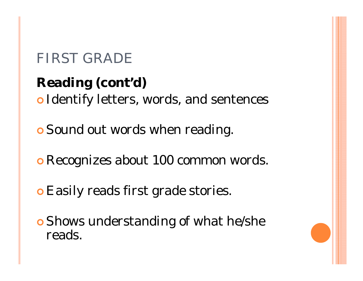**Reading( ) cont'd)** | Identify letters, words, and sentences

**o** Sound out words when reading.

**o** Recognizes about 100 common words.

**o** Easily reads first grade stories.

**o** Shows understanding of what he/she reads.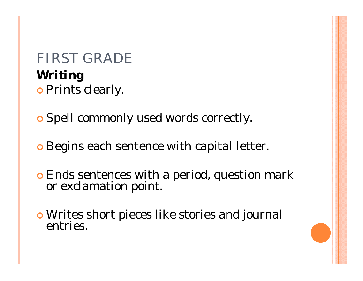# FIRST GRADE**Writing o** Prints clearly.

**o** Spell commonly used words correctly.

**o** Begins each sentence with capital letter.

| Ends sentences with a period, question mark or exclamation point.

**o** Writes short pieces like stories and journal entries.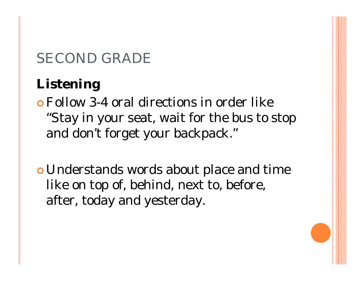# **Listening**

- | Follow 3-4 oral directions in order like "Stay in your seat, wait for the bus to stop and don't forget your backpack."
- **o** Understands words about place and time like on top of, behind, next to, before, after, today and yesterday.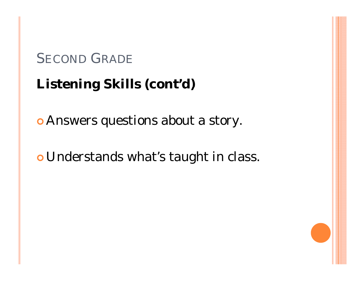# Listening Skills (cont'd)

**• Answers questions about a story.** 

o Understands what's taught in class.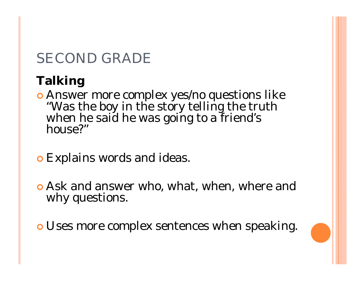## **Talking**

- **Answer more complex yes/no questions like "Was the boy in the story telling the truth when he said he was going to a friend's house?"**
- **o** Explains words and ideas.
- **Ask and answer who, what, when, where and** why questions.
- **o** Uses more complex sentences when speaking.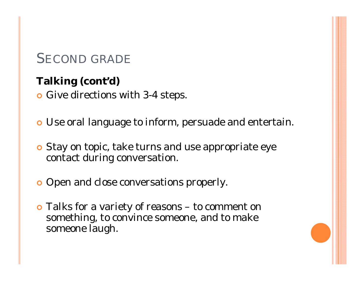#### **Talking (cont'd)**

**•** Give directions with 3-4 steps.

- **o** Use oral language to inform, persuade and entertain.
- **o** Stay on topic, take turns and use appropriate eye contact during conversation.
- **•** Open and close conversations properly.
- Talks for a variety of reasons to comment on something, to convince someone, and to make someone laugh.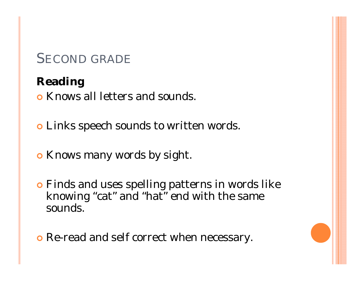#### **Reading**

**o** Knows all letters and sounds.

- **o** Links speech sounds to written words.
- **o** Knows many words by sight.
- **•** Finds and uses spelling patterns in words like knowing "cat" and "hat" end with the same sounds.
- **o** Re-read and self correct when necessary.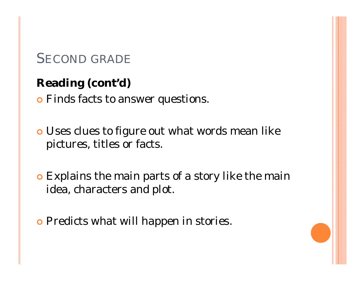### **Reading( ) cont'd)**

**•** Finds facts to answer questions.

**o** Uses clues to figure out what words mean like pictures, titles or facts.

**• Explains the main parts of a story like the main** idea, characters and plot.

**o** Predicts what will happen in stories.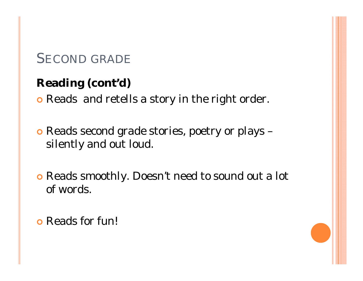#### **Reading( ) cont'd)**

**•** Reads and retells a story in the right order.

**o** Reads second grade stories, poetry or plays silently and out loud.

**o** Reads smoothly. Doesn't need to sound out a lot of words.

**o** Reads for fun!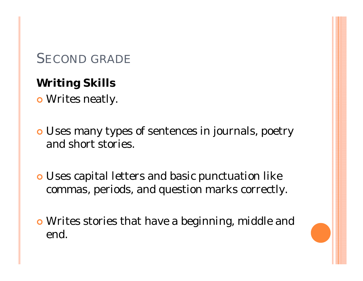## **Writing Skills**

**o** Writes neatly.

**o** Uses many types of sentences in journals, poetry and short stories.

**o** Uses capital letters and basic punctuation like commas, periods, and question marks correctly.

**o** Writes stories that have a beginning, middle and end.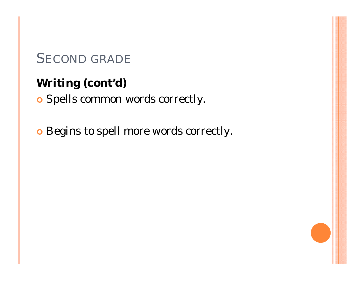## **Writing( ) cont'd)**

**o** Spells common words correctly.

**o** Begins to spell more words correctly.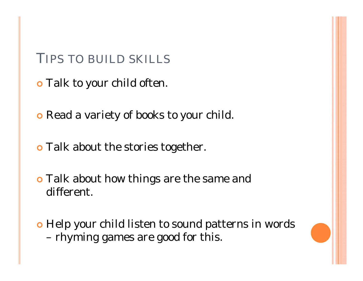#### TIPS TO BUILD SKILLS

- **o** Talk to your child often.
- **o** Read a variety of books to your child.
- **o** Talk about the stories together.
- **o** Talk about how things are the same and different.
- **•** Help your child listen to sound patterns in words –rhyming games are good for this.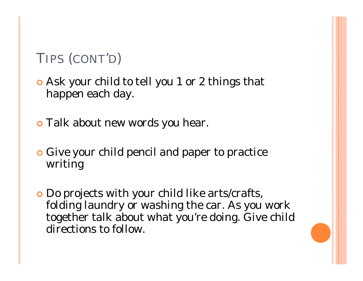# TIPS (CONT'D)

- Ask your child to tell you 1 or 2 things that happen each day.
- **o** Talk about new words you hear.
- **Give your child pencil and paper to practice** writing
- **Do projects with your child like arts/crafts,** folding laundry or washing the car. As you work together talk about what you're doing. Give child directions to follow.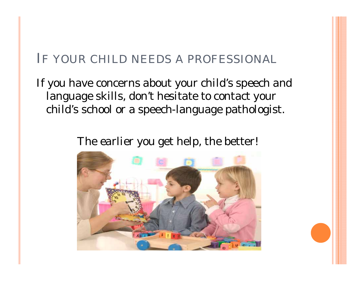#### IF YOUR CHILD NEEDS A PROFESSIONAL

If you have concerns about your child's speech and language skills, don't hesitate to contact your child's school or a speech-language pathologist.

The earlier you get help, the better!

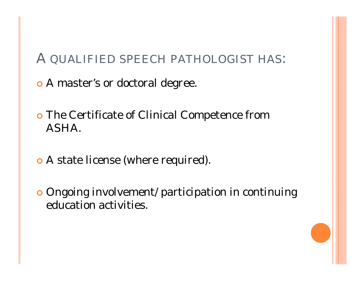#### A QUALIFIED SPEECH PATHOLOGIST HAS:

**o** A master's or doctoral degree.

- **o** The Certificate of Clinical Competence from ASHA.
- A state license (where required).
- **Ongoing involvement/ participation in continuing** education activities.